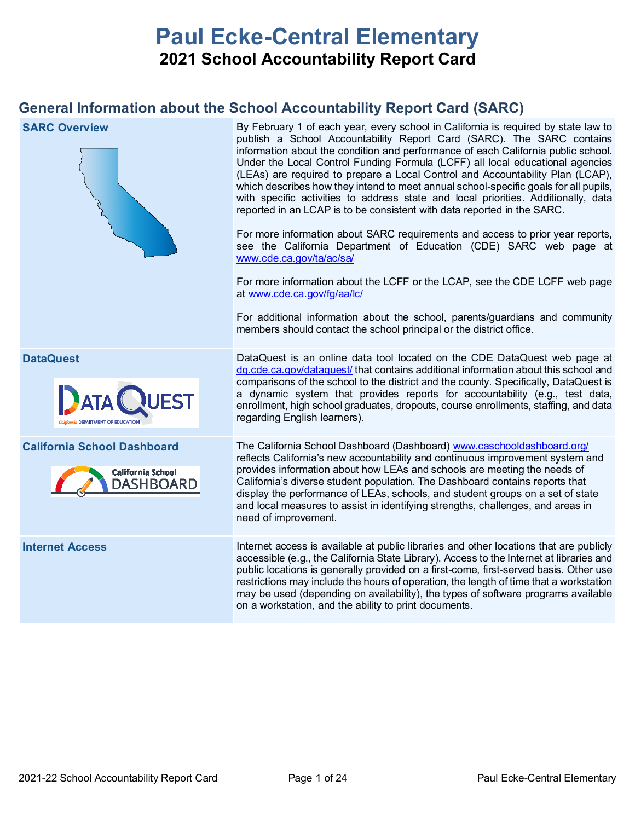# **Paul Ecke-Central Elementary 2021 School Accountability Report Card**

## **General Information about the School Accountability Report Card (SARC)**

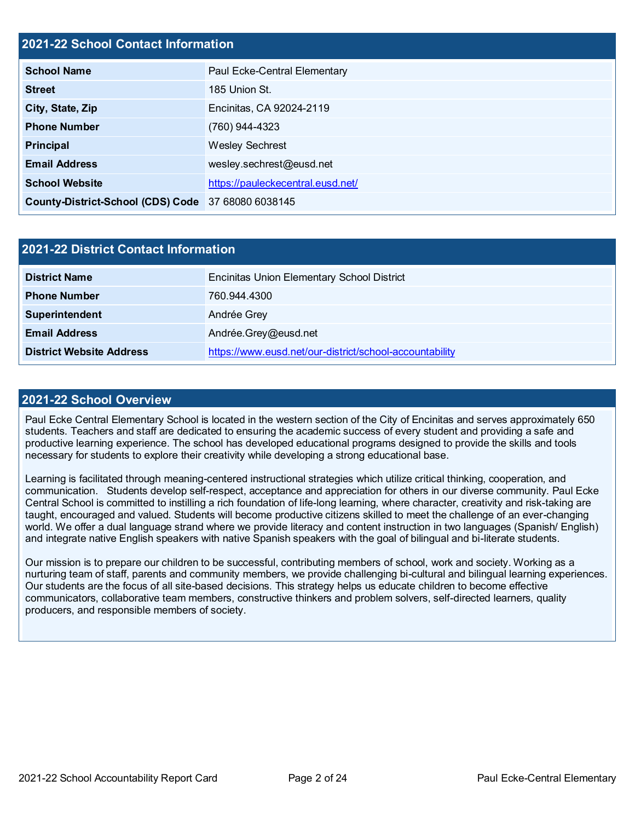## **2021-22 School Contact Information**

| <b>School Name</b>                                 | Paul Ecke-Central Elementary      |
|----------------------------------------------------|-----------------------------------|
| <b>Street</b>                                      | 185 Union St.                     |
| City, State, Zip                                   | Encinitas, CA 92024-2119          |
| <b>Phone Number</b>                                | (760) 944-4323                    |
| <b>Principal</b>                                   | <b>Wesley Sechrest</b>            |
| <b>Email Address</b>                               | wesley.sechrest@eusd.net          |
| <b>School Website</b>                              | https://pauleckecentral.eusd.net/ |
| County-District-School (CDS) Code 37 68080 6038145 |                                   |

| <b>2021-22 District Contact Information</b> |                                                         |  |  |  |  |
|---------------------------------------------|---------------------------------------------------------|--|--|--|--|
| <b>District Name</b>                        | <b>Encinitas Union Elementary School District</b>       |  |  |  |  |
| <b>Phone Number</b>                         | 760.944.4300                                            |  |  |  |  |
| Superintendent                              | Andrée Grey                                             |  |  |  |  |
| <b>Email Address</b>                        | Andrée.Grey@eusd.net                                    |  |  |  |  |
| <b>District Website Address</b>             | https://www.eusd.net/our-district/school-accountability |  |  |  |  |

### **2021-22 School Overview**

Paul Ecke Central Elementary School is located in the western section of the City of Encinitas and serves approximately 650 students. Teachers and staff are dedicated to ensuring the academic success of every student and providing a safe and productive learning experience. The school has developed educational programs designed to provide the skills and tools necessary for students to explore their creativity while developing a strong educational base.

Learning is facilitated through meaning-centered instructional strategies which utilize critical thinking, cooperation, and communication. Students develop self-respect, acceptance and appreciation for others in our diverse community. Paul Ecke Central School is committed to instilling a rich foundation of life-long learning, where character, creativity and risk-taking are taught, encouraged and valued. Students will become productive citizens skilled to meet the challenge of an ever-changing world. We offer a dual language strand where we provide literacy and content instruction in two languages (Spanish/ English) and integrate native English speakers with native Spanish speakers with the goal of bilingual and bi-literate students.

Our mission is to prepare our children to be successful, contributing members of school, work and society. Working as a nurturing team of staff, parents and community members, we provide challenging bi-cultural and bilingual learning experiences. Our students are the focus of all site-based decisions. This strategy helps us educate children to become effective communicators, collaborative team members, constructive thinkers and problem solvers, self-directed learners, quality producers, and responsible members of society.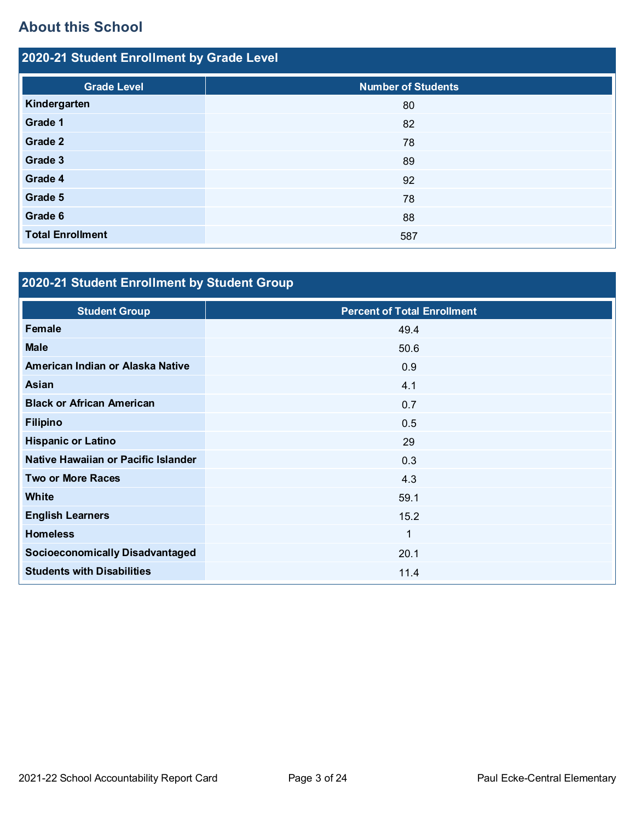## **About this School**

| 2020-21 Student Enrollment by Grade Level |                           |  |  |  |  |
|-------------------------------------------|---------------------------|--|--|--|--|
| <b>Grade Level</b>                        | <b>Number of Students</b> |  |  |  |  |
| Kindergarten                              | 80                        |  |  |  |  |
| Grade 1                                   | 82                        |  |  |  |  |
| Grade 2                                   | 78                        |  |  |  |  |
| Grade 3                                   | 89                        |  |  |  |  |
| Grade 4                                   | 92                        |  |  |  |  |
| Grade 5                                   | 78                        |  |  |  |  |
| Grade 6                                   | 88                        |  |  |  |  |
| <b>Total Enrollment</b>                   | 587                       |  |  |  |  |

# **2020-21 Student Enrollment by Student Group**

| <b>Student Group</b>                   | <b>Percent of Total Enrollment</b> |
|----------------------------------------|------------------------------------|
| <b>Female</b>                          | 49.4                               |
| <b>Male</b>                            | 50.6                               |
| American Indian or Alaska Native       | 0.9                                |
| Asian                                  | 4.1                                |
| <b>Black or African American</b>       | 0.7                                |
| <b>Filipino</b>                        | 0.5                                |
| <b>Hispanic or Latino</b>              | 29                                 |
| Native Hawaiian or Pacific Islander    | 0.3                                |
| <b>Two or More Races</b>               | 4.3                                |
| <b>White</b>                           | 59.1                               |
| <b>English Learners</b>                | 15.2                               |
| <b>Homeless</b>                        | $\mathbf{1}$                       |
| <b>Socioeconomically Disadvantaged</b> | 20.1                               |
| <b>Students with Disabilities</b>      | 11.4                               |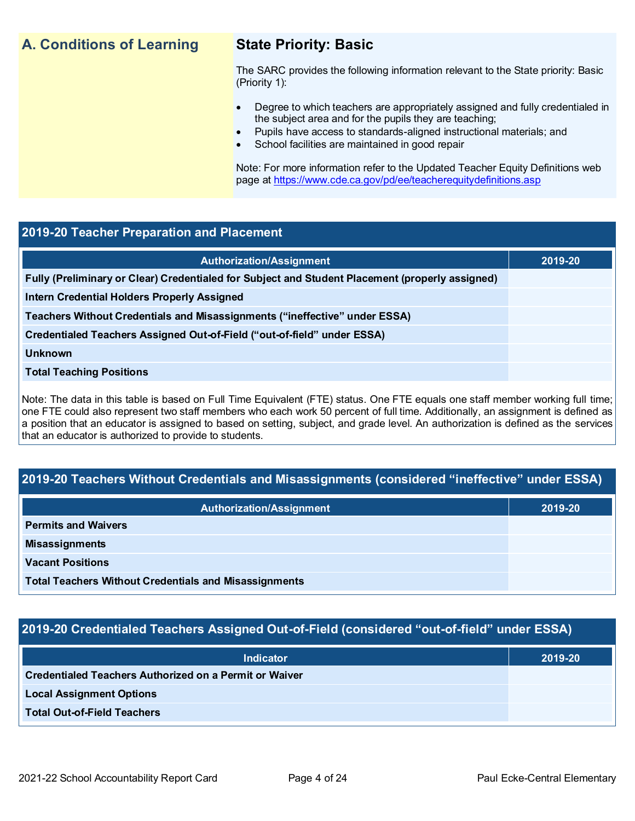## **A. Conditions of Learning State Priority: Basic**

The SARC provides the following information relevant to the State priority: Basic (Priority 1):

- Degree to which teachers are appropriately assigned and fully credentialed in the subject area and for the pupils they are teaching;
	- Pupils have access to standards-aligned instructional materials; and
- School facilities are maintained in good repair

Note: For more information refer to the Updated Teacher Equity Definitions web page at<https://www.cde.ca.gov/pd/ee/teacherequitydefinitions.asp>

## **2019-20 Teacher Preparation and Placement**

| 2019-20 |
|---------|
|         |
|         |
|         |
|         |
|         |
|         |
|         |

Note: The data in this table is based on Full Time Equivalent (FTE) status. One FTE equals one staff member working full time; one FTE could also represent two staff members who each work 50 percent of full time. Additionally, an assignment is defined as a position that an educator is assigned to based on setting, subject, and grade level. An authorization is defined as the services that an educator is authorized to provide to students.

## **2019-20 Teachers Without Credentials and Misassignments (considered "ineffective" under ESSA)**

| <b>Authorization/Assignment</b>                              | 2019-20 |
|--------------------------------------------------------------|---------|
| <b>Permits and Waivers</b>                                   |         |
| <b>Misassignments</b>                                        |         |
| <b>Vacant Positions</b>                                      |         |
| <b>Total Teachers Without Credentials and Misassignments</b> |         |

## **2019-20 Credentialed Teachers Assigned Out-of-Field (considered "out-of-field" under ESSA)**

| <b>Indicator</b>                                       | 2019-20 |
|--------------------------------------------------------|---------|
| Credentialed Teachers Authorized on a Permit or Waiver |         |
| <b>Local Assignment Options</b>                        |         |
| <b>Total Out-of-Field Teachers</b>                     |         |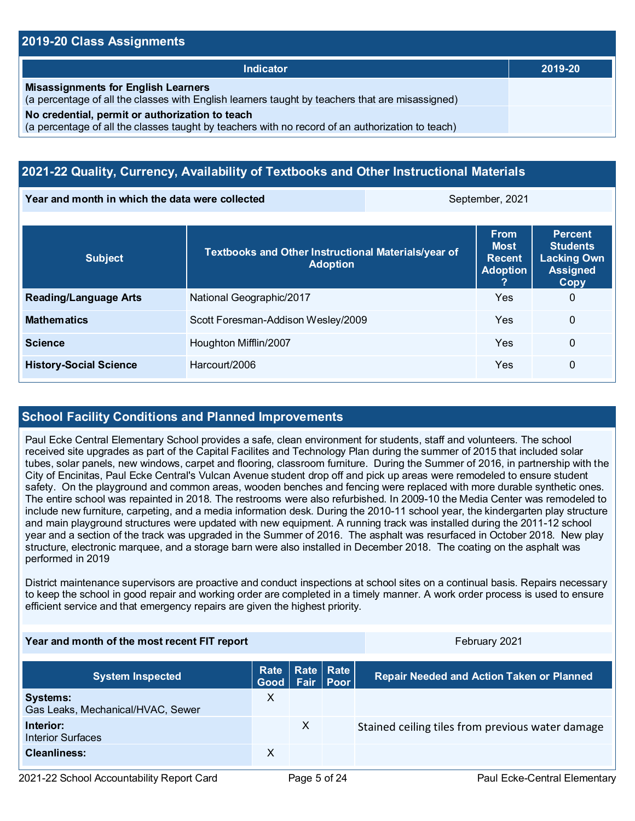## **2019-20 Class Assignments**

| Indicator                                                                                                                                           | 2019-20 |
|-----------------------------------------------------------------------------------------------------------------------------------------------------|---------|
| <b>Misassignments for English Learners</b><br>(a percentage of all the classes with English learners taught by teachers that are misassigned)       |         |
| No credential, permit or authorization to teach<br>(a percentage of all the classes taught by teachers with no record of an authorization to teach) |         |

## **2021-22 Quality, Currency, Availability of Textbooks and Other Instructional Materials**

**Year and month in which the data were collected September, 2021** September, 2021

| <b>Subject</b>                | Textbooks and Other Instructional Materials/year of<br><b>Adoption</b> | <b>From</b><br><b>Most</b><br><b>Recent</b><br><b>Adoption</b> | <b>Percent</b><br><b>Students</b><br><b>Lacking Own</b><br><b>Assigned</b><br>Copy |
|-------------------------------|------------------------------------------------------------------------|----------------------------------------------------------------|------------------------------------------------------------------------------------|
| <b>Reading/Language Arts</b>  | National Geographic/2017                                               | Yes                                                            | 0                                                                                  |
| <b>Mathematics</b>            | Scott Foresman-Addison Wesley/2009                                     | Yes                                                            | 0                                                                                  |
| <b>Science</b>                | Houghton Mifflin/2007                                                  | Yes                                                            | 0                                                                                  |
| <b>History-Social Science</b> | Harcourt/2006                                                          | Yes                                                            | 0                                                                                  |

## **School Facility Conditions and Planned Improvements**

Paul Ecke Central Elementary School provides a safe, clean environment for students, staff and volunteers. The school received site upgrades as part of the Capital Facilites and Technology Plan during the summer of 2015 that included solar tubes, solar panels, new windows, carpet and flooring, classroom furniture. During the Summer of 2016, in partnership with the City of Encinitas, Paul Ecke Central's Vulcan Avenue student drop off and pick up areas were remodeled to ensure student safety. On the playground and common areas, wooden benches and fencing were replaced with more durable synthetic ones. The entire school was repainted in 2018. The restrooms were also refurbished. In 2009-10 the Media Center was remodeled to include new furniture, carpeting, and a media information desk. During the 2010-11 school year, the kindergarten play structure and main playground structures were updated with new equipment. A running track was installed during the 2011-12 school year and a section of the track was upgraded in the Summer of 2016. The asphalt was resurfaced in October 2018. New play structure, electronic marquee, and a storage barn were also installed in December 2018. The coating on the asphalt was performed in 2019

District maintenance supervisors are proactive and conduct inspections at school sites on a continual basis. Repairs necessary to keep the school in good repair and working order are completed in a timely manner. A work order process is used to ensure efficient service and that emergency repairs are given the highest priority.

### **Year and month of the most recent FIT report** February 2021

| <b>System Inspected</b>                              | Rate   Rate   Rate  <br>Good Fair Poor |              | <b>Repair Needed and Action Taken or Planned</b> |
|------------------------------------------------------|----------------------------------------|--------------|--------------------------------------------------|
| <b>Systems:</b><br>Gas Leaks, Mechanical/HVAC, Sewer | X                                      |              |                                                  |
| Interior:<br><b>Interior Surfaces</b>                |                                        | $\mathsf{X}$ | Stained ceiling tiles from previous water damage |
| <b>Cleanliness:</b>                                  | X                                      |              |                                                  |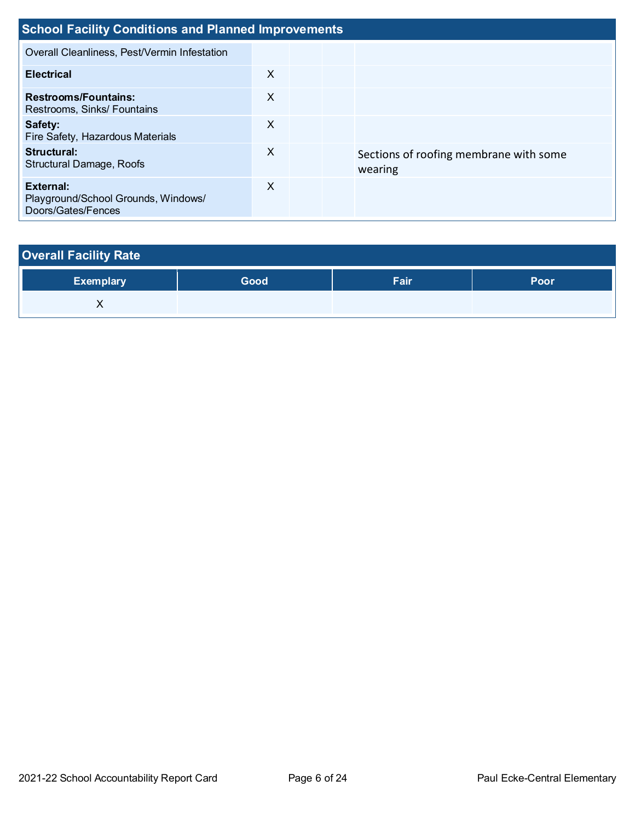| <b>School Facility Conditions and Planned Improvements</b>             |   |  |  |                                                   |  |  |
|------------------------------------------------------------------------|---|--|--|---------------------------------------------------|--|--|
| Overall Cleanliness, Pest/Vermin Infestation                           |   |  |  |                                                   |  |  |
| <b>Electrical</b>                                                      | X |  |  |                                                   |  |  |
| <b>Restrooms/Fountains:</b><br>Restrooms, Sinks/ Fountains             | X |  |  |                                                   |  |  |
| Safety:<br>Fire Safety, Hazardous Materials                            | X |  |  |                                                   |  |  |
| Structural:<br><b>Structural Damage, Roofs</b>                         | X |  |  | Sections of roofing membrane with some<br>wearing |  |  |
| External:<br>Playground/School Grounds, Windows/<br>Doors/Gates/Fences | X |  |  |                                                   |  |  |

# **Overall Facility Rate Exemplary Good Fair Poor**

| ∕Exemplary | Good | ⊦aır | Poor |
|------------|------|------|------|
| $\lambda$  |      |      |      |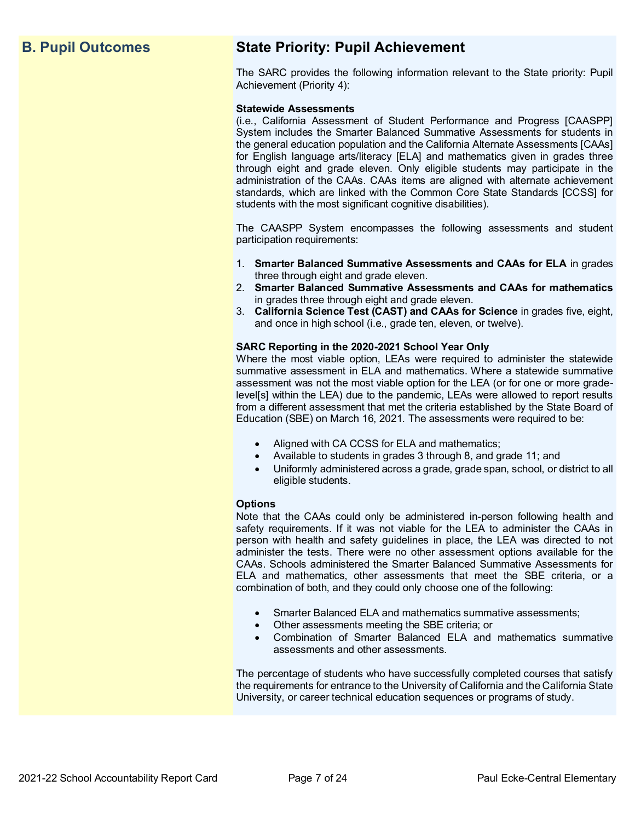## **B. Pupil Outcomes State Priority: Pupil Achievement**

The SARC provides the following information relevant to the State priority: Pupil Achievement (Priority 4):

### **Statewide Assessments**

(i.e., California Assessment of Student Performance and Progress [CAASPP] System includes the Smarter Balanced Summative Assessments for students in the general education population and the California Alternate Assessments [CAAs] for English language arts/literacy [ELA] and mathematics given in grades three through eight and grade eleven. Only eligible students may participate in the administration of the CAAs. CAAs items are aligned with alternate achievement standards, which are linked with the Common Core State Standards [CCSS] for students with the most significant cognitive disabilities).

The CAASPP System encompasses the following assessments and student participation requirements:

- 1. **Smarter Balanced Summative Assessments and CAAs for ELA** in grades three through eight and grade eleven.
- 2. **Smarter Balanced Summative Assessments and CAAs for mathematics** in grades three through eight and grade eleven.
- 3. **California Science Test (CAST) and CAAs for Science** in grades five, eight, and once in high school (i.e., grade ten, eleven, or twelve).

### **SARC Reporting in the 2020-2021 School Year Only**

Where the most viable option, LEAs were required to administer the statewide summative assessment in ELA and mathematics. Where a statewide summative assessment was not the most viable option for the LEA (or for one or more gradelevel[s] within the LEA) due to the pandemic, LEAs were allowed to report results from a different assessment that met the criteria established by the State Board of Education (SBE) on March 16, 2021. The assessments were required to be:

- Aligned with CA CCSS for ELA and mathematics;
- Available to students in grades 3 through 8, and grade 11; and
- Uniformly administered across a grade, grade span, school, or district to all eligible students.

### **Options**

Note that the CAAs could only be administered in-person following health and safety requirements. If it was not viable for the LEA to administer the CAAs in person with health and safety guidelines in place, the LEA was directed to not administer the tests. There were no other assessment options available for the CAAs. Schools administered the Smarter Balanced Summative Assessments for ELA and mathematics, other assessments that meet the SBE criteria, or a combination of both, and they could only choose one of the following:

- Smarter Balanced ELA and mathematics summative assessments;
- Other assessments meeting the SBE criteria; or
- Combination of Smarter Balanced ELA and mathematics summative assessments and other assessments.

The percentage of students who have successfully completed courses that satisfy the requirements for entrance to the University of California and the California State University, or career technical education sequences or programs of study.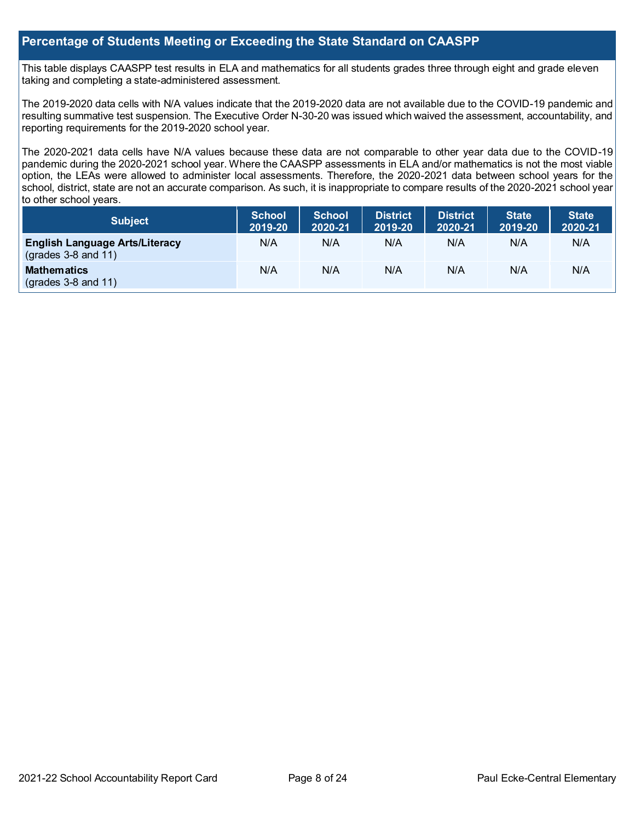## **Percentage of Students Meeting or Exceeding the State Standard on CAASPP**

This table displays CAASPP test results in ELA and mathematics for all students grades three through eight and grade eleven taking and completing a state-administered assessment.

The 2019-2020 data cells with N/A values indicate that the 2019-2020 data are not available due to the COVID-19 pandemic and resulting summative test suspension. The Executive Order N-30-20 was issued which waived the assessment, accountability, and reporting requirements for the 2019-2020 school year.

The 2020-2021 data cells have N/A values because these data are not comparable to other year data due to the COVID-19 pandemic during the 2020-2021 school year. Where the CAASPP assessments in ELA and/or mathematics is not the most viable option, the LEAs were allowed to administer local assessments. Therefore, the 2020-2021 data between school years for the school, district, state are not an accurate comparison. As such, it is inappropriate to compare results of the 2020-2021 school year to other school years.

| <b>Subject</b>                                                 | <b>School</b><br>2019-20 | <b>School</b><br>2020-21 | <b>District</b><br>2019-20 | <b>District</b><br>2020-21 | <b>State</b><br>2019-20 | <b>State</b><br>2020-21 |
|----------------------------------------------------------------|--------------------------|--------------------------|----------------------------|----------------------------|-------------------------|-------------------------|
| <b>English Language Arts/Literacy</b><br>$(grades 3-8 and 11)$ | N/A                      | N/A                      | N/A                        | N/A                        | N/A                     | N/A                     |
| <b>Mathematics</b><br>$(grades 3-8 and 11)$                    | N/A                      | N/A                      | N/A                        | N/A                        | N/A                     | N/A                     |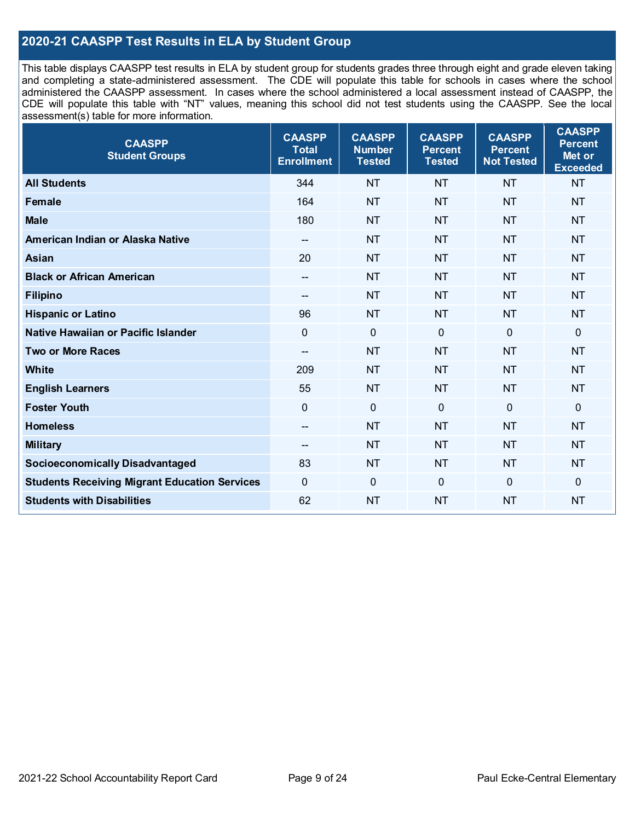## **2020-21 CAASPP Test Results in ELA by Student Group**

This table displays CAASPP test results in ELA by student group for students grades three through eight and grade eleven taking and completing a state-administered assessment. The CDE will populate this table for schools in cases where the school administered the CAASPP assessment. In cases where the school administered a local assessment instead of CAASPP, the CDE will populate this table with "NT" values, meaning this school did not test students using the CAASPP. See the local assessment(s) table for more information.

| <b>CAASPP</b><br><b>Student Groups</b>               | <b>CAASPP</b><br><b>Total</b><br><b>Enrollment</b> | <b>CAASPP</b><br><b>Number</b><br><b>Tested</b> | <b>CAASPP</b><br><b>Percent</b><br><b>Tested</b> | <b>CAASPP</b><br><b>Percent</b><br><b>Not Tested</b> | <b>CAASPP</b><br><b>Percent</b><br>Met or<br><b>Exceeded</b> |
|------------------------------------------------------|----------------------------------------------------|-------------------------------------------------|--------------------------------------------------|------------------------------------------------------|--------------------------------------------------------------|
| <b>All Students</b>                                  | 344                                                | <b>NT</b>                                       | <b>NT</b>                                        | <b>NT</b>                                            | <b>NT</b>                                                    |
| <b>Female</b>                                        | 164                                                | <b>NT</b>                                       | <b>NT</b>                                        | <b>NT</b>                                            | <b>NT</b>                                                    |
| <b>Male</b>                                          | 180                                                | <b>NT</b>                                       | <b>NT</b>                                        | <b>NT</b>                                            | <b>NT</b>                                                    |
| American Indian or Alaska Native                     | $\overline{\phantom{a}}$                           | <b>NT</b>                                       | <b>NT</b>                                        | <b>NT</b>                                            | <b>NT</b>                                                    |
| <b>Asian</b>                                         | 20                                                 | <b>NT</b>                                       | <b>NT</b>                                        | <b>NT</b>                                            | <b>NT</b>                                                    |
| <b>Black or African American</b>                     | --                                                 | <b>NT</b>                                       | <b>NT</b>                                        | <b>NT</b>                                            | <b>NT</b>                                                    |
| <b>Filipino</b>                                      | --                                                 | <b>NT</b>                                       | <b>NT</b>                                        | <b>NT</b>                                            | <b>NT</b>                                                    |
| <b>Hispanic or Latino</b>                            | 96                                                 | <b>NT</b>                                       | <b>NT</b>                                        | <b>NT</b>                                            | <b>NT</b>                                                    |
| Native Hawaiian or Pacific Islander                  | $\mathbf 0$                                        | $\mathbf 0$                                     | $\mathbf 0$                                      | $\mathbf 0$                                          | 0                                                            |
| <b>Two or More Races</b>                             | $-$                                                | <b>NT</b>                                       | <b>NT</b>                                        | <b>NT</b>                                            | <b>NT</b>                                                    |
| <b>White</b>                                         | 209                                                | <b>NT</b>                                       | <b>NT</b>                                        | <b>NT</b>                                            | <b>NT</b>                                                    |
| <b>English Learners</b>                              | 55                                                 | <b>NT</b>                                       | <b>NT</b>                                        | <b>NT</b>                                            | <b>NT</b>                                                    |
| <b>Foster Youth</b>                                  | $\Omega$                                           | $\mathbf 0$                                     | $\overline{0}$                                   | $\overline{0}$                                       | $\mathbf 0$                                                  |
| <b>Homeless</b>                                      | $\overline{\phantom{a}}$                           | <b>NT</b>                                       | <b>NT</b>                                        | <b>NT</b>                                            | <b>NT</b>                                                    |
| <b>Military</b>                                      | --                                                 | <b>NT</b>                                       | <b>NT</b>                                        | <b>NT</b>                                            | <b>NT</b>                                                    |
| <b>Socioeconomically Disadvantaged</b>               | 83                                                 | <b>NT</b>                                       | <b>NT</b>                                        | <b>NT</b>                                            | <b>NT</b>                                                    |
| <b>Students Receiving Migrant Education Services</b> | $\mathbf 0$                                        | $\mathbf 0$                                     | $\overline{0}$                                   | $\mathbf 0$                                          | 0                                                            |
| <b>Students with Disabilities</b>                    | 62                                                 | <b>NT</b>                                       | <b>NT</b>                                        | <b>NT</b>                                            | <b>NT</b>                                                    |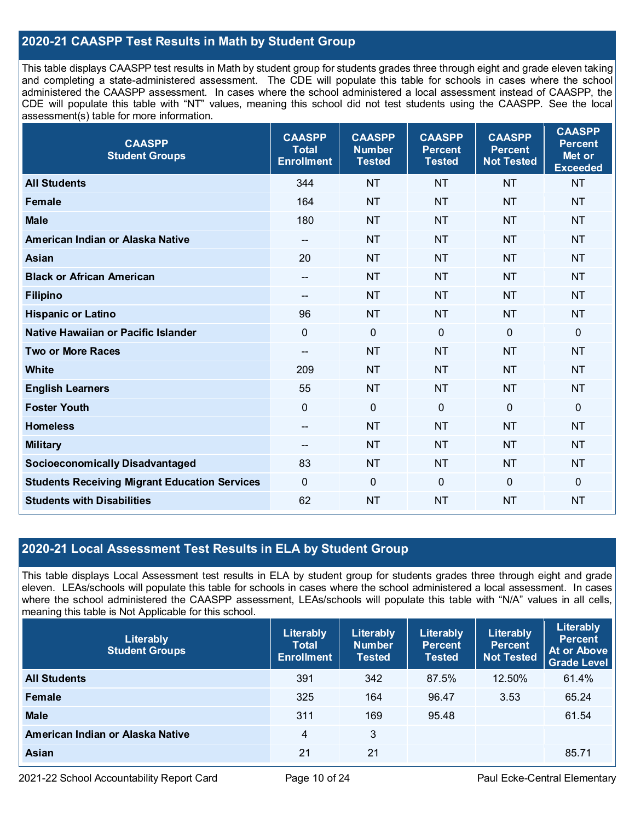## **2020-21 CAASPP Test Results in Math by Student Group**

This table displays CAASPP test results in Math by student group for students grades three through eight and grade eleven taking and completing a state-administered assessment. The CDE will populate this table for schools in cases where the school administered the CAASPP assessment. In cases where the school administered a local assessment instead of CAASPP, the CDE will populate this table with "NT" values, meaning this school did not test students using the CAASPP. See the local assessment(s) table for more information.

| <b>CAASPP</b><br><b>Student Groups</b>               | <b>CAASPP</b><br><b>Total</b><br><b>Enrollment</b> | <b>CAASPP</b><br><b>Number</b><br><b>Tested</b> | <b>CAASPP</b><br><b>Percent</b><br><b>Tested</b> | <b>CAASPP</b><br><b>Percent</b><br><b>Not Tested</b> | <b>CAASPP</b><br><b>Percent</b><br>Met or<br><b>Exceeded</b> |
|------------------------------------------------------|----------------------------------------------------|-------------------------------------------------|--------------------------------------------------|------------------------------------------------------|--------------------------------------------------------------|
| <b>All Students</b>                                  | 344                                                | <b>NT</b>                                       | <b>NT</b>                                        | <b>NT</b>                                            | <b>NT</b>                                                    |
| <b>Female</b>                                        | 164                                                | <b>NT</b>                                       | <b>NT</b>                                        | <b>NT</b>                                            | <b>NT</b>                                                    |
| <b>Male</b>                                          | 180                                                | <b>NT</b>                                       | <b>NT</b>                                        | <b>NT</b>                                            | <b>NT</b>                                                    |
| American Indian or Alaska Native                     | $\overline{\phantom{a}}$                           | <b>NT</b>                                       | <b>NT</b>                                        | <b>NT</b>                                            | <b>NT</b>                                                    |
| Asian                                                | 20                                                 | <b>NT</b>                                       | <b>NT</b>                                        | <b>NT</b>                                            | <b>NT</b>                                                    |
| <b>Black or African American</b>                     | $\hspace{0.05cm}$ – $\hspace{0.05cm}$              | NT                                              | <b>NT</b>                                        | <b>NT</b>                                            | <b>NT</b>                                                    |
| <b>Filipino</b>                                      | --                                                 | <b>NT</b>                                       | <b>NT</b>                                        | <b>NT</b>                                            | <b>NT</b>                                                    |
| <b>Hispanic or Latino</b>                            | 96                                                 | <b>NT</b>                                       | <b>NT</b>                                        | <b>NT</b>                                            | <b>NT</b>                                                    |
| Native Hawaiian or Pacific Islander                  | $\overline{0}$                                     | $\mathbf 0$                                     | $\mathbf 0$                                      | $\overline{0}$                                       | $\mathbf 0$                                                  |
| <b>Two or More Races</b>                             | $-$                                                | <b>NT</b>                                       | <b>NT</b>                                        | <b>NT</b>                                            | <b>NT</b>                                                    |
| <b>White</b>                                         | 209                                                | <b>NT</b>                                       | <b>NT</b>                                        | <b>NT</b>                                            | <b>NT</b>                                                    |
| <b>English Learners</b>                              | 55                                                 | <b>NT</b>                                       | <b>NT</b>                                        | <b>NT</b>                                            | <b>NT</b>                                                    |
| <b>Foster Youth</b>                                  | $\mathbf 0$                                        | $\mathbf 0$                                     | $\mathbf 0$                                      | $\Omega$                                             | $\mathbf 0$                                                  |
| <b>Homeless</b>                                      | $\overline{\phantom{m}}$                           | <b>NT</b>                                       | <b>NT</b>                                        | <b>NT</b>                                            | <b>NT</b>                                                    |
| <b>Military</b>                                      | --                                                 | <b>NT</b>                                       | <b>NT</b>                                        | <b>NT</b>                                            | <b>NT</b>                                                    |
| <b>Socioeconomically Disadvantaged</b>               | 83                                                 | <b>NT</b>                                       | <b>NT</b>                                        | <b>NT</b>                                            | <b>NT</b>                                                    |
| <b>Students Receiving Migrant Education Services</b> | $\overline{0}$                                     | $\mathbf 0$                                     | $\mathbf 0$                                      | 0                                                    | $\mathbf 0$                                                  |
| <b>Students with Disabilities</b>                    | 62                                                 | <b>NT</b>                                       | <b>NT</b>                                        | <b>NT</b>                                            | <b>NT</b>                                                    |

## **2020-21 Local Assessment Test Results in ELA by Student Group**

This table displays Local Assessment test results in ELA by student group for students grades three through eight and grade eleven. LEAs/schools will populate this table for schools in cases where the school administered a local assessment. In cases where the school administered the CAASPP assessment, LEAs/schools will populate this table with "N/A" values in all cells, meaning this table is Not Applicable for this school.

| Literably<br><b>Student Groups</b> | Literably<br><b>Total</b><br><b>Enrollment</b> | Literably<br><b>Number</b><br><b>Tested</b> | Literably<br><b>Percent</b><br><b>Tested</b> | Literably<br><b>Percent</b><br><b>Not Tested</b> | Literably<br><b>Percent</b><br>At or Above<br><b>Grade Level</b> |
|------------------------------------|------------------------------------------------|---------------------------------------------|----------------------------------------------|--------------------------------------------------|------------------------------------------------------------------|
| <b>All Students</b>                | 391                                            | 342                                         | 87.5%                                        | 12.50%                                           | 61.4%                                                            |
| Female                             | 325                                            | 164                                         | 96.47                                        | 3.53                                             | 65.24                                                            |
| <b>Male</b>                        | 311                                            | 169                                         | 95.48                                        |                                                  | 61.54                                                            |
| American Indian or Alaska Native   | $\overline{4}$                                 | 3                                           |                                              |                                                  |                                                                  |
| Asian                              | 21                                             | 21                                          |                                              |                                                  | 85.71                                                            |

2021-22 School Accountability Report Card Page 10 of 24 Paul Ecke-Central Elementary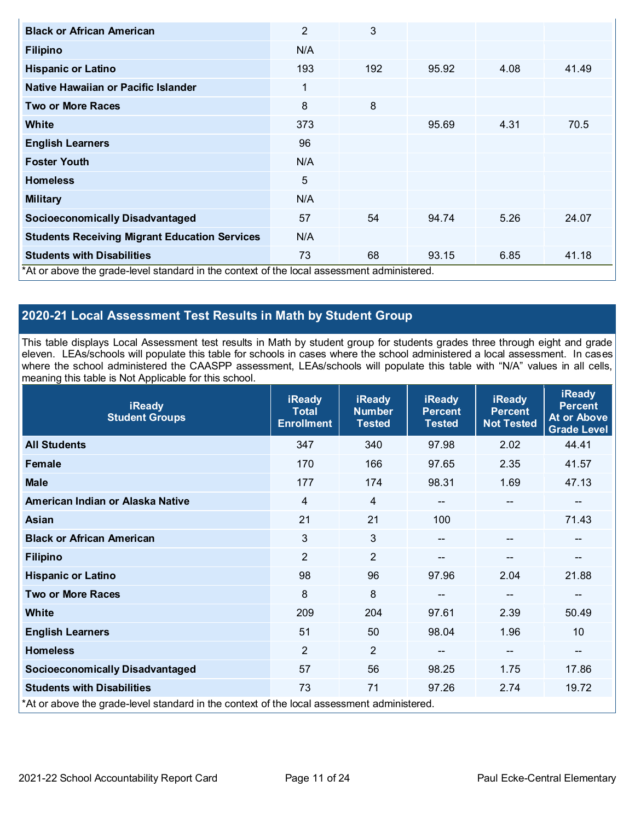| <b>Black or African American</b>                                                           | $\overline{2}$ | 3   |       |      |       |
|--------------------------------------------------------------------------------------------|----------------|-----|-------|------|-------|
| <b>Filipino</b>                                                                            | N/A            |     |       |      |       |
| <b>Hispanic or Latino</b>                                                                  | 193            | 192 | 95.92 | 4.08 | 41.49 |
| Native Hawaiian or Pacific Islander                                                        | 1              |     |       |      |       |
| <b>Two or More Races</b>                                                                   | 8              | 8   |       |      |       |
| White                                                                                      | 373            |     | 95.69 | 4.31 | 70.5  |
| <b>English Learners</b>                                                                    | 96             |     |       |      |       |
| <b>Foster Youth</b>                                                                        | N/A            |     |       |      |       |
| <b>Homeless</b>                                                                            | 5              |     |       |      |       |
| <b>Military</b>                                                                            | N/A            |     |       |      |       |
| <b>Socioeconomically Disadvantaged</b>                                                     | 57             | 54  | 94.74 | 5.26 | 24.07 |
| <b>Students Receiving Migrant Education Services</b>                                       | N/A            |     |       |      |       |
| <b>Students with Disabilities</b>                                                          | 73             | 68  | 93.15 | 6.85 | 41.18 |
| *At or above the grade-level standard in the context of the local assessment administered. |                |     |       |      |       |

## **2020-21 Local Assessment Test Results in Math by Student Group**

This table displays Local Assessment test results in Math by student group for students grades three through eight and grade eleven. LEAs/schools will populate this table for schools in cases where the school administered a local assessment. In cases where the school administered the CAASPP assessment, LEAs/schools will populate this table with "N/A" values in all cells, meaning this table is Not Applicable for this school.

| <b>iReady</b><br><b>Student Groups</b>                                                     | <b>iReady</b><br><b>Total</b><br><b>Enrollment</b> | <b>iReady</b><br><b>Number</b><br><b>Tested</b> | <b>iReady</b><br><b>Percent</b><br><b>Tested</b> | <b>iReady</b><br><b>Percent</b><br><b>Not Tested</b> | <b>iReady</b><br><b>Percent</b><br><b>At or Above</b><br><b>Grade Level</b> |
|--------------------------------------------------------------------------------------------|----------------------------------------------------|-------------------------------------------------|--------------------------------------------------|------------------------------------------------------|-----------------------------------------------------------------------------|
| <b>All Students</b>                                                                        | 347                                                | 340                                             | 97.98                                            | 2.02                                                 | 44.41                                                                       |
| Female                                                                                     | 170                                                | 166                                             | 97.65                                            | 2.35                                                 | 41.57                                                                       |
| <b>Male</b>                                                                                | 177                                                | 174                                             | 98.31                                            | 1.69                                                 | 47.13                                                                       |
| American Indian or Alaska Native                                                           | $\overline{4}$                                     | $\overline{4}$                                  | $\qquad \qquad -$                                | $\hspace{0.05cm}$ – $\hspace{0.05cm}$                | --                                                                          |
| <b>Asian</b>                                                                               | 21                                                 | 21                                              | 100                                              |                                                      | 71.43                                                                       |
| <b>Black or African American</b>                                                           | 3                                                  | 3                                               | --                                               | $\qquad \qquad -$                                    | --                                                                          |
| <b>Filipino</b>                                                                            | $\overline{2}$                                     | $\overline{2}$                                  |                                                  | $\overline{\phantom{a}}$                             | --                                                                          |
| <b>Hispanic or Latino</b>                                                                  | 98                                                 | 96                                              | 97.96                                            | 2.04                                                 | 21.88                                                                       |
| <b>Two or More Races</b>                                                                   | 8                                                  | 8                                               | --                                               | $-$                                                  | --                                                                          |
| <b>White</b>                                                                               | 209                                                | 204                                             | 97.61                                            | 2.39                                                 | 50.49                                                                       |
| <b>English Learners</b>                                                                    | 51                                                 | 50                                              | 98.04                                            | 1.96                                                 | 10                                                                          |
| <b>Homeless</b>                                                                            | $\overline{2}$                                     | $\overline{2}$                                  | --                                               | $\qquad \qquad -$                                    | --                                                                          |
| <b>Socioeconomically Disadvantaged</b>                                                     | 57                                                 | 56                                              | 98.25                                            | 1.75                                                 | 17.86                                                                       |
| <b>Students with Disabilities</b>                                                          | 73                                                 | 71                                              | 97.26                                            | 2.74                                                 | 19.72                                                                       |
| *At or above the grade-level standard in the context of the local assessment administered. |                                                    |                                                 |                                                  |                                                      |                                                                             |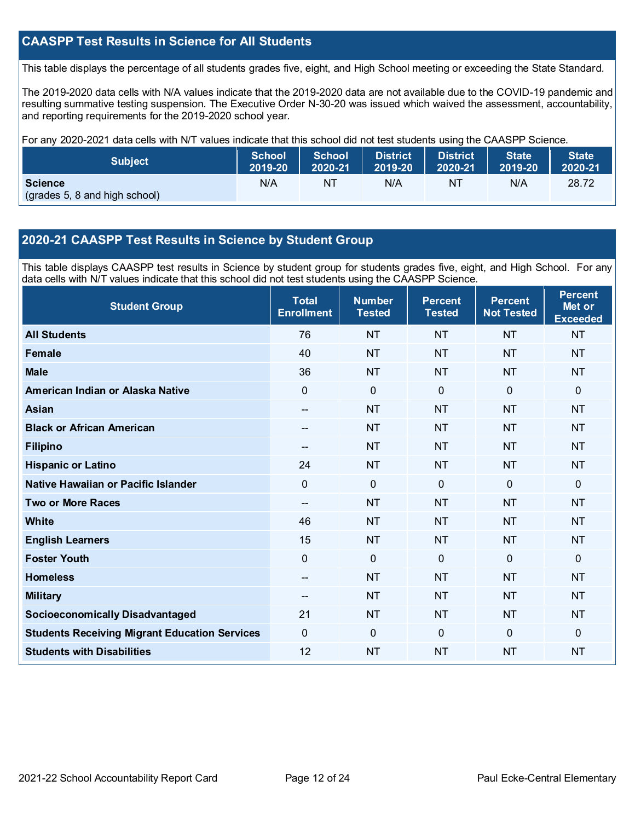## **CAASPP Test Results in Science for All Students**

This table displays the percentage of all students grades five, eight, and High School meeting or exceeding the State Standard.

The 2019-2020 data cells with N/A values indicate that the 2019-2020 data are not available due to the COVID-19 pandemic and resulting summative testing suspension. The Executive Order N-30-20 was issued which waived the assessment, accountability, and reporting requirements for the 2019-2020 school year.

For any 2020-2021 data cells with N/T values indicate that this school did not test students using the CAASPP Science.

| <b>Subject</b>                                  | <b>School</b> | <b>School</b> | <b>District</b> | <b>District</b> | <b>State</b> | <b>State</b> |
|-------------------------------------------------|---------------|---------------|-----------------|-----------------|--------------|--------------|
|                                                 | 2019-20       | 2020-21       | 2019-20         | 2020-21         | 2019-20      | 2020-21      |
| <b>Science</b><br>(grades 5, 8 and high school) | N/A           | ΝT            | N/A             | NT              | N/A          | 28.72        |

## **2020-21 CAASPP Test Results in Science by Student Group**

This table displays CAASPP test results in Science by student group for students grades five, eight, and High School. For any data cells with N/T values indicate that this school did not test students using the CAASPP Science.

| <b>Student Group</b>                                 | <b>Total</b><br><b>Enrollment</b> | <b>Number</b><br><b>Tested</b> | <b>Percent</b><br><b>Tested</b> | <b>Percent</b><br><b>Not Tested</b> | <b>Percent</b><br>Met or<br><b>Exceeded</b> |
|------------------------------------------------------|-----------------------------------|--------------------------------|---------------------------------|-------------------------------------|---------------------------------------------|
| <b>All Students</b>                                  | 76                                | <b>NT</b>                      | <b>NT</b>                       | <b>NT</b>                           | <b>NT</b>                                   |
| <b>Female</b>                                        | 40                                | <b>NT</b>                      | <b>NT</b>                       | <b>NT</b>                           | <b>NT</b>                                   |
| <b>Male</b>                                          | 36                                | <b>NT</b>                      | <b>NT</b>                       | <b>NT</b>                           | <b>NT</b>                                   |
| American Indian or Alaska Native                     | 0                                 | $\mathbf 0$                    | $\mathbf 0$                     | $\overline{0}$                      | 0                                           |
| <b>Asian</b>                                         | $-$                               | <b>NT</b>                      | <b>NT</b>                       | <b>NT</b>                           | <b>NT</b>                                   |
| <b>Black or African American</b>                     | --                                | <b>NT</b>                      | <b>NT</b>                       | <b>NT</b>                           | <b>NT</b>                                   |
| <b>Filipino</b>                                      | $-$                               | <b>NT</b>                      | <b>NT</b>                       | <b>NT</b>                           | <b>NT</b>                                   |
| <b>Hispanic or Latino</b>                            | 24                                | <b>NT</b>                      | <b>NT</b>                       | <b>NT</b>                           | <b>NT</b>                                   |
| Native Hawaiian or Pacific Islander                  | $\overline{0}$                    | $\mathbf 0$                    | $\mathbf{0}$                    | $\overline{0}$                      | 0                                           |
| <b>Two or More Races</b>                             | --                                | <b>NT</b>                      | <b>NT</b>                       | <b>NT</b>                           | <b>NT</b>                                   |
| <b>White</b>                                         | 46                                | <b>NT</b>                      | <b>NT</b>                       | <b>NT</b>                           | <b>NT</b>                                   |
| <b>English Learners</b>                              | 15                                | <b>NT</b>                      | <b>NT</b>                       | <b>NT</b>                           | <b>NT</b>                                   |
| <b>Foster Youth</b>                                  | 0                                 | $\mathbf 0$                    | $\mathbf 0$                     | $\mathbf 0$                         | 0                                           |
| <b>Homeless</b>                                      | $-$                               | <b>NT</b>                      | <b>NT</b>                       | <b>NT</b>                           | <b>NT</b>                                   |
| <b>Military</b>                                      | --                                | <b>NT</b>                      | <b>NT</b>                       | <b>NT</b>                           | <b>NT</b>                                   |
| <b>Socioeconomically Disadvantaged</b>               | 21                                | <b>NT</b>                      | <b>NT</b>                       | <b>NT</b>                           | <b>NT</b>                                   |
| <b>Students Receiving Migrant Education Services</b> | 0                                 | $\mathbf 0$                    | $\Omega$                        | $\mathbf{0}$                        | $\Omega$                                    |
| <b>Students with Disabilities</b>                    | 12                                | <b>NT</b>                      | <b>NT</b>                       | <b>NT</b>                           | <b>NT</b>                                   |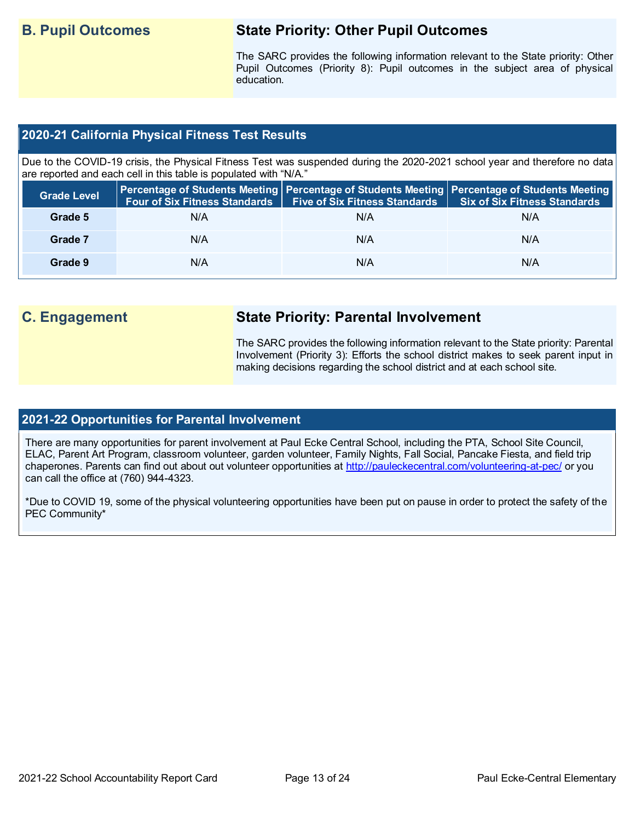## **B. Pupil Outcomes State Priority: Other Pupil Outcomes**

The SARC provides the following information relevant to the State priority: Other Pupil Outcomes (Priority 8): Pupil outcomes in the subject area of physical education.

## **2020-21 California Physical Fitness Test Results**

Due to the COVID-19 crisis, the Physical Fitness Test was suspended during the 2020-2021 school year and therefore no data are reported and each cell in this table is populated with "N/A."

| <b>Grade Level</b> | <b>Four of Six Fitness Standards</b> | <b>Five of Six Fitness Standards   Six of Six Fitness Standards</b> | Percentage of Students Meeting Percentage of Students Meeting Percentage of Students Meeting |
|--------------------|--------------------------------------|---------------------------------------------------------------------|----------------------------------------------------------------------------------------------|
| Grade 5            | N/A                                  | N/A                                                                 | N/A                                                                                          |
| Grade 7            | N/A                                  | N/A                                                                 | N/A                                                                                          |
| Grade 9            | N/A                                  | N/A                                                                 | N/A                                                                                          |

## **C. Engagement State Priority: Parental Involvement**

The SARC provides the following information relevant to the State priority: Parental Involvement (Priority 3): Efforts the school district makes to seek parent input in making decisions regarding the school district and at each school site.

## **2021-22 Opportunities for Parental Involvement**

There are many opportunities for parent involvement at Paul Ecke Central School, including the PTA, School Site Council, ELAC, Parent Art Program, classroom volunteer, garden volunteer, Family Nights, Fall Social, Pancake Fiesta, and field trip chaperones. Parents can find out about out volunteer opportunities at<http://pauleckecentral.com/volunteering-at-pec/> or you can call the office at (760) 944-4323.

\*Due to COVID 19, some of the physical volunteering opportunities have been put on pause in order to protect the safety of the PEC Community\*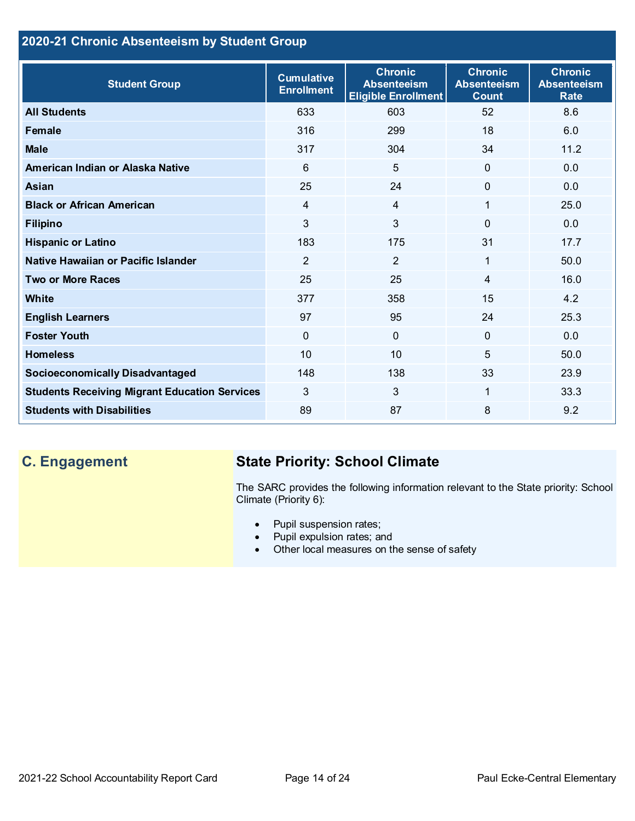## **2020-21 Chronic Absenteeism by Student Group**

| <b>Student Group</b>                                 | <b>Cumulative</b><br><b>Enrollment</b> | <b>Chronic</b><br><b>Absenteeism</b><br><b>Eligible Enrollment</b> | <b>Chronic</b><br><b>Absenteeism</b><br><b>Count</b> | <b>Chronic</b><br><b>Absenteeism</b><br><b>Rate</b> |
|------------------------------------------------------|----------------------------------------|--------------------------------------------------------------------|------------------------------------------------------|-----------------------------------------------------|
| <b>All Students</b>                                  | 633                                    | 603                                                                | 52                                                   | 8.6                                                 |
| <b>Female</b>                                        | 316                                    | 299                                                                | 18                                                   | 6.0                                                 |
| <b>Male</b>                                          | 317                                    | 304                                                                | 34                                                   | 11.2                                                |
| American Indian or Alaska Native                     | 6                                      | 5                                                                  | $\overline{0}$                                       | 0.0                                                 |
| <b>Asian</b>                                         | 25                                     | 24                                                                 | $\mathbf 0$                                          | 0.0                                                 |
| <b>Black or African American</b>                     | $\overline{4}$                         | $\overline{4}$                                                     | 1                                                    | 25.0                                                |
| <b>Filipino</b>                                      | 3                                      | $\mathbf{3}$                                                       | $\Omega$                                             | 0.0                                                 |
| <b>Hispanic or Latino</b>                            | 183                                    | 175                                                                | 31                                                   | 17.7                                                |
| Native Hawaiian or Pacific Islander                  | $\overline{2}$                         | $\overline{2}$                                                     | 1                                                    | 50.0                                                |
| <b>Two or More Races</b>                             | 25                                     | 25                                                                 | 4                                                    | 16.0                                                |
| <b>White</b>                                         | 377                                    | 358                                                                | 15                                                   | 4.2                                                 |
| <b>English Learners</b>                              | 97                                     | 95                                                                 | 24                                                   | 25.3                                                |
| <b>Foster Youth</b>                                  | $\mathbf{0}$                           | $\overline{0}$                                                     | $\Omega$                                             | 0.0                                                 |
| <b>Homeless</b>                                      | 10                                     | 10                                                                 | 5                                                    | 50.0                                                |
| <b>Socioeconomically Disadvantaged</b>               | 148                                    | 138                                                                | 33                                                   | 23.9                                                |
| <b>Students Receiving Migrant Education Services</b> | 3                                      | $\mathbf{3}$                                                       | 1                                                    | 33.3                                                |
| <b>Students with Disabilities</b>                    | 89                                     | 87                                                                 | 8                                                    | 9.2                                                 |

## **C. Engagement State Priority: School Climate**

The SARC provides the following information relevant to the State priority: School Climate (Priority 6):

- Pupil suspension rates;
- Pupil expulsion rates; and
- Other local measures on the sense of safety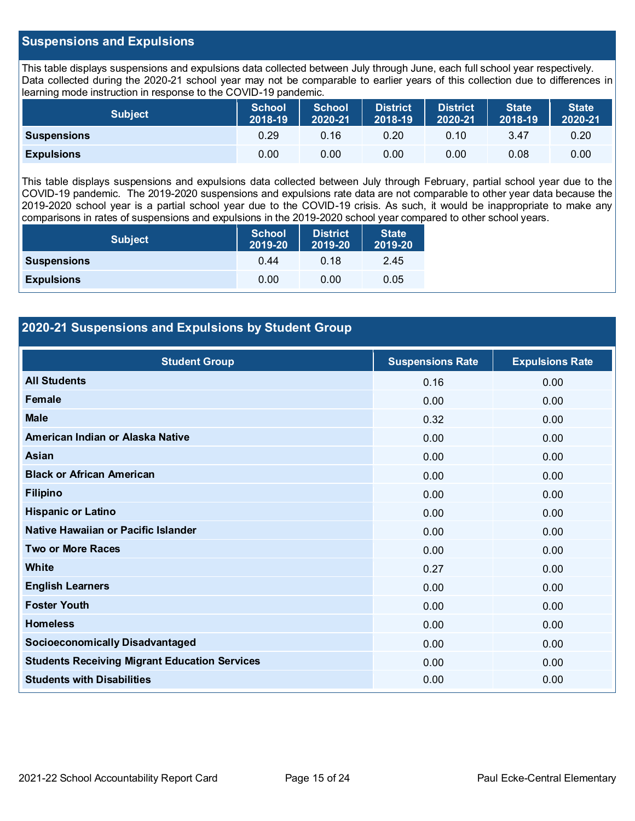## **Suspensions and Expulsions**

This table displays suspensions and expulsions data collected between July through June, each full school year respectively. Data collected during the 2020-21 school year may not be comparable to earlier years of this collection due to differences in learning mode instruction in response to the COVID-19 pandemic.

| <b>Subject</b>     | <b>School</b><br>2018-19 | <b>School</b><br>2020-21 | <b>District</b><br>2018-19 | District<br>2020-21 | <b>State</b><br>2018-19 | <b>State</b><br>2020-21 |
|--------------------|--------------------------|--------------------------|----------------------------|---------------------|-------------------------|-------------------------|
| <b>Suspensions</b> | 0.29                     | 0.16                     | 0.20                       | 0.10                | 3.47                    | 0.20                    |
| <b>Expulsions</b>  | 0.00                     | 0.00                     | 0.00                       | 0.00                | 0.08                    | 0.00                    |

This table displays suspensions and expulsions data collected between July through February, partial school year due to the COVID-19 pandemic. The 2019-2020 suspensions and expulsions rate data are not comparable to other year data because the 2019-2020 school year is a partial school year due to the COVID-19 crisis. As such, it would be inappropriate to make any comparisons in rates of suspensions and expulsions in the 2019-2020 school year compared to other school years.

| <b>Subject</b>     | <b>School</b><br>2019-20 | <b>District</b><br>2019-20 | <b>State</b><br>2019-20 |
|--------------------|--------------------------|----------------------------|-------------------------|
| <b>Suspensions</b> | 0.44                     | 0.18                       | 2.45                    |
| <b>Expulsions</b>  | 0.00                     | 0.00                       | 0.05                    |

## **2020-21 Suspensions and Expulsions by Student Group**

| <b>Student Group</b>                                 | <b>Suspensions Rate</b> | <b>Expulsions Rate</b> |
|------------------------------------------------------|-------------------------|------------------------|
| <b>All Students</b>                                  | 0.16                    | 0.00                   |
| Female                                               | 0.00                    | 0.00                   |
| <b>Male</b>                                          | 0.32                    | 0.00                   |
| American Indian or Alaska Native                     | 0.00                    | 0.00                   |
| Asian                                                | 0.00                    | 0.00                   |
| <b>Black or African American</b>                     | 0.00                    | 0.00                   |
| <b>Filipino</b>                                      | 0.00                    | 0.00                   |
| <b>Hispanic or Latino</b>                            | 0.00                    | 0.00                   |
| Native Hawaiian or Pacific Islander                  | 0.00                    | 0.00                   |
| <b>Two or More Races</b>                             | 0.00                    | 0.00                   |
| White                                                | 0.27                    | 0.00                   |
| <b>English Learners</b>                              | 0.00                    | 0.00                   |
| <b>Foster Youth</b>                                  | 0.00                    | 0.00                   |
| <b>Homeless</b>                                      | 0.00                    | 0.00                   |
| <b>Socioeconomically Disadvantaged</b>               | 0.00                    | 0.00                   |
| <b>Students Receiving Migrant Education Services</b> | 0.00                    | 0.00                   |
| <b>Students with Disabilities</b>                    | 0.00                    | 0.00                   |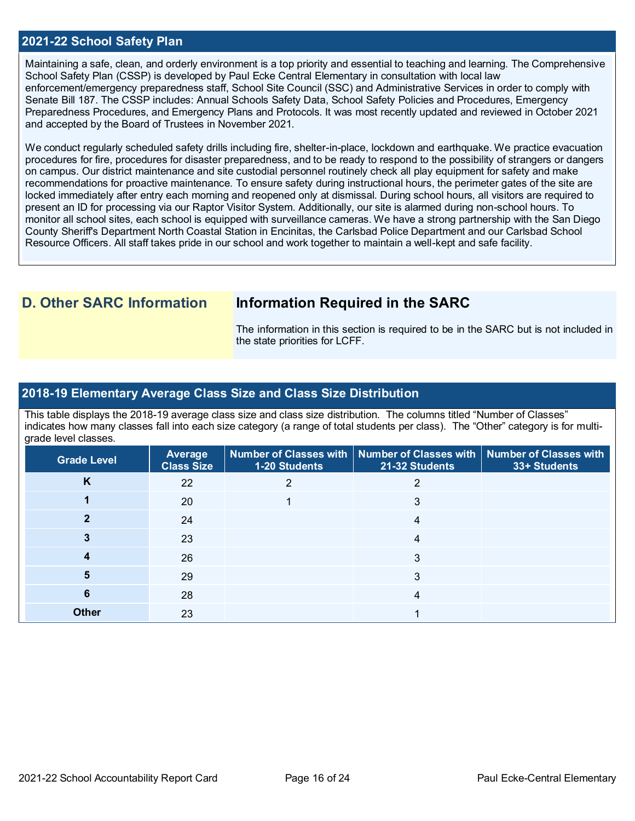### **2021-22 School Safety Plan**

Maintaining a safe, clean, and orderly environment is a top priority and essential to teaching and learning. The Comprehensive School Safety Plan (CSSP) is developed by Paul Ecke Central Elementary in consultation with local law enforcement/emergency preparedness staff, School Site Council (SSC) and Administrative Services in order to comply with Senate Bill 187. The CSSP includes: Annual Schools Safety Data, School Safety Policies and Procedures, Emergency Preparedness Procedures, and Emergency Plans and Protocols. It was most recently updated and reviewed in October 2021 and accepted by the Board of Trustees in November 2021.

We conduct regularly scheduled safety drills including fire, shelter-in-place, lockdown and earthquake. We practice evacuation procedures for fire, procedures for disaster preparedness, and to be ready to respond to the possibility of strangers or dangers on campus. Our district maintenance and site custodial personnel routinely check all play equipment for safety and make recommendations for proactive maintenance. To ensure safety during instructional hours, the perimeter gates of the site are locked immediately after entry each morning and reopened only at dismissal. During school hours, all visitors are required to present an ID for processing via our Raptor Visitor System. Additionally, our site is alarmed during non-school hours. To monitor all school sites, each school is equipped with surveillance cameras. We have a strong partnership with the San Diego County Sheriff's Department North Coastal Station in Encinitas, the Carlsbad Police Department and our Carlsbad School Resource Officers. All staff takes pride in our school and work together to maintain a well-kept and safe facility.

## **D. Other SARC Information Information Required in the SARC**

The information in this section is required to be in the SARC but is not included in the state priorities for LCFF.

### **2018-19 Elementary Average Class Size and Class Size Distribution**

This table displays the 2018-19 average class size and class size distribution. The columns titled "Number of Classes" indicates how many classes fall into each size category (a range of total students per class). The "Other" category is for multigrade level classes.

| <b>Grade Level</b> | Average<br><b>Class Size</b> | 1-20 Students | Number of Classes with   Number of Classes with   Number of Classes with<br>21-32 Students | 33+ Students |
|--------------------|------------------------------|---------------|--------------------------------------------------------------------------------------------|--------------|
| κ                  | 22                           |               |                                                                                            |              |
|                    | 20                           |               | 3                                                                                          |              |
|                    | 24                           |               |                                                                                            |              |
|                    | 23                           |               | 4                                                                                          |              |
|                    | 26                           |               | 3                                                                                          |              |
|                    | 29                           |               | 3                                                                                          |              |
| 6                  | 28                           |               | 4                                                                                          |              |
| <b>Other</b>       | 23                           |               |                                                                                            |              |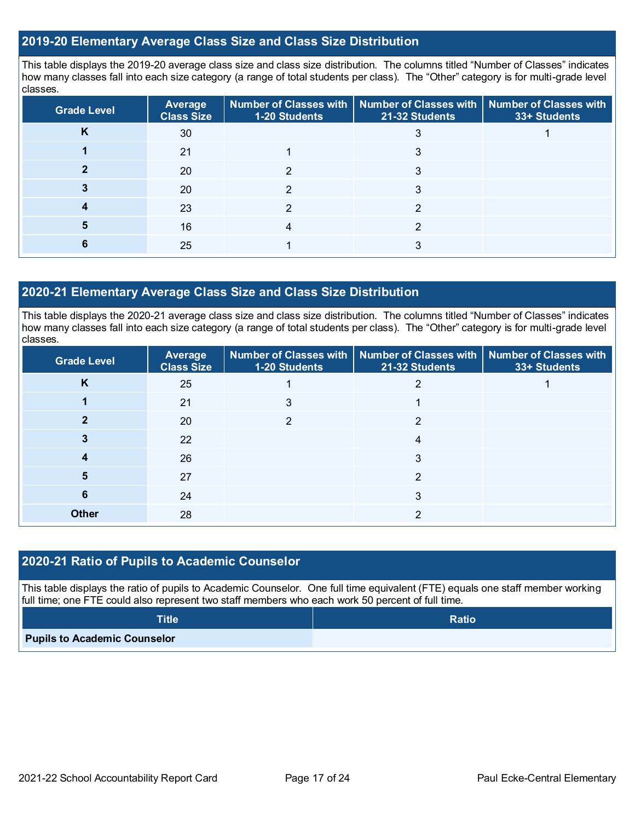## **2019-20 Elementary Average Class Size and Class Size Distribution**

This table displays the 2019-20 average class size and class size distribution. The columns titled "Number of Classes" indicates how many classes fall into each size category (a range of total students per class). The "Other" category is for multi-grade level classes.

| <b>Grade Level</b> | Average<br><b>Class Size</b> | 1-20 Students | Number of Classes with   Number of Classes with  <br>21-32 Students | Number of Classes with<br>33+ Students |
|--------------------|------------------------------|---------------|---------------------------------------------------------------------|----------------------------------------|
| r                  | 30                           |               |                                                                     |                                        |
|                    | 21                           |               | 3                                                                   |                                        |
|                    | 20                           |               |                                                                     |                                        |
|                    | 20                           |               |                                                                     |                                        |
|                    | 23                           |               |                                                                     |                                        |
|                    | 16                           |               |                                                                     |                                        |
|                    | 25                           |               |                                                                     |                                        |

## **2020-21 Elementary Average Class Size and Class Size Distribution**

This table displays the 2020-21 average class size and class size distribution. The columns titled "Number of Classes" indicates how many classes fall into each size category (a range of total students per class). The "Other" category is for multi-grade level classes.

| <b>Grade Level</b> | Average<br><b>Class Size</b> | 1-20 Students | Number of Classes with   Number of Classes with   Number of Classes with<br>21-32 Students | 33+ Students |
|--------------------|------------------------------|---------------|--------------------------------------------------------------------------------------------|--------------|
| K                  | 25                           |               |                                                                                            |              |
|                    | 21                           | 3             |                                                                                            |              |
|                    | 20                           | າ             | ົ                                                                                          |              |
|                    | 22                           |               |                                                                                            |              |
|                    | 26                           |               |                                                                                            |              |
| 5                  | 27                           |               | ົ                                                                                          |              |
| Ю                  | 24                           |               | 3                                                                                          |              |
| <b>Other</b>       | 28                           |               | ⌒                                                                                          |              |

## **2020-21 Ratio of Pupils to Academic Counselor**

This table displays the ratio of pupils to Academic Counselor. One full time equivalent (FTE) equals one staff member working full time; one FTE could also represent two staff members who each work 50 percent of full time.

| <b>Title</b>                        | <b>Ratio</b> |
|-------------------------------------|--------------|
| <b>Pupils to Academic Counselor</b> |              |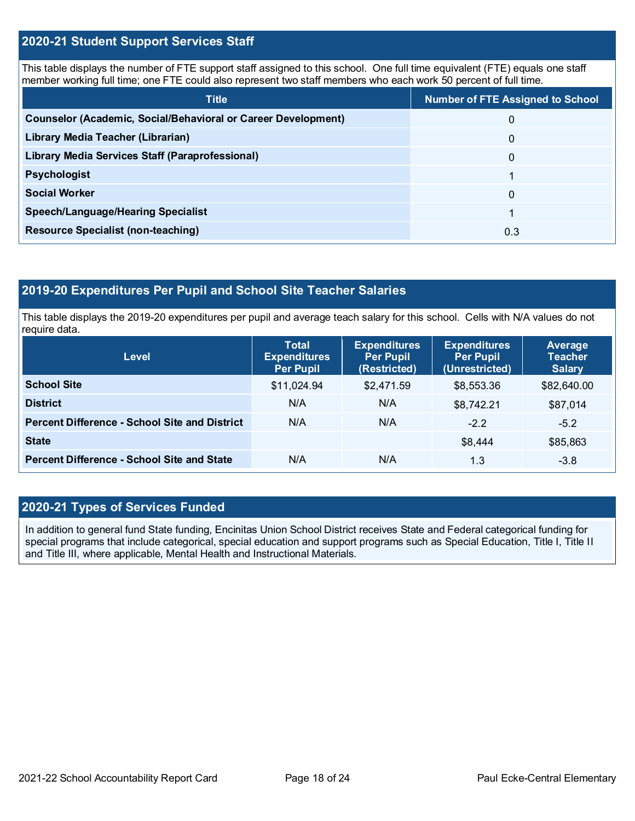## **2020-21 Student Support Services Staff**

This table displays the number of FTE support staff assigned to this school. One full time equivalent (FTE) equals one staff member working full time; one FTE could also represent two staff members who each work 50 percent of full time.

| <b>Title</b>                                                         | <b>Number of FTE Assigned to School</b> |
|----------------------------------------------------------------------|-----------------------------------------|
| <b>Counselor (Academic, Social/Behavioral or Career Development)</b> | 0                                       |
| Library Media Teacher (Librarian)                                    | 0                                       |
| Library Media Services Staff (Paraprofessional)                      | 0                                       |
| <b>Psychologist</b>                                                  |                                         |
| <b>Social Worker</b>                                                 | 0                                       |
| <b>Speech/Language/Hearing Specialist</b>                            |                                         |
| <b>Resource Specialist (non-teaching)</b>                            | 0.3                                     |

## **2019-20 Expenditures Per Pupil and School Site Teacher Salaries**

This table displays the 2019-20 expenditures per pupil and average teach salary for this school. Cells with N/A values do not require data.

| <b>Level</b>                                         | <b>Total</b><br><b>Expenditures</b><br><b>Per Pupil</b> | <b>Expenditures</b><br><b>Per Pupil</b><br>(Restricted) | <b>Expenditures</b><br><b>Per Pupil</b><br>(Unrestricted) | Average<br><b>Teacher</b><br><b>Salary</b> |
|------------------------------------------------------|---------------------------------------------------------|---------------------------------------------------------|-----------------------------------------------------------|--------------------------------------------|
| <b>School Site</b>                                   | \$11,024.94                                             | \$2,471.59                                              | \$8,553.36                                                | \$82,640.00                                |
| <b>District</b>                                      | N/A                                                     | N/A                                                     | \$8,742.21                                                | \$87,014                                   |
| <b>Percent Difference - School Site and District</b> | N/A                                                     | N/A                                                     | $-2.2$                                                    | $-5.2$                                     |
| <b>State</b>                                         |                                                         |                                                         | \$8,444                                                   | \$85,863                                   |
| <b>Percent Difference - School Site and State</b>    | N/A                                                     | N/A                                                     | 1.3                                                       | $-3.8$                                     |

## **2020-21 Types of Services Funded**

In addition to general fund State funding, Encinitas Union School District receives State and Federal categorical funding for special programs that include categorical, special education and support programs such as Special Education, Title I, Title II and Title III, where applicable, Mental Health and Instructional Materials.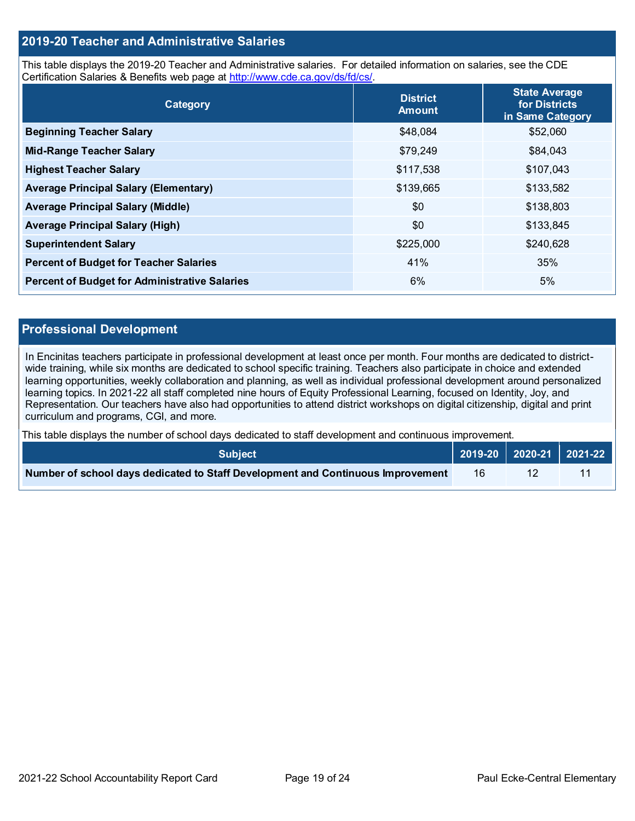## **2019-20 Teacher and Administrative Salaries**

This table displays the 2019-20 Teacher and Administrative salaries. For detailed information on salaries, see the CDE Certification Salaries & Benefits web page at [http://www.cde.ca.gov/ds/fd/cs/.](http://www.cde.ca.gov/ds/fd/cs/)

| Category                                             | <b>District</b><br><b>Amount</b> | <b>State Average</b><br>for Districts<br>in Same Category |
|------------------------------------------------------|----------------------------------|-----------------------------------------------------------|
| <b>Beginning Teacher Salary</b>                      | \$48,084                         | \$52,060                                                  |
| <b>Mid-Range Teacher Salary</b>                      | \$79,249                         | \$84,043                                                  |
| <b>Highest Teacher Salary</b>                        | \$117,538                        | \$107,043                                                 |
| <b>Average Principal Salary (Elementary)</b>         | \$139,665                        | \$133,582                                                 |
| <b>Average Principal Salary (Middle)</b>             | \$0                              | \$138,803                                                 |
| <b>Average Principal Salary (High)</b>               | \$0                              | \$133,845                                                 |
| <b>Superintendent Salary</b>                         | \$225,000                        | \$240,628                                                 |
| <b>Percent of Budget for Teacher Salaries</b>        | 41%                              | 35%                                                       |
| <b>Percent of Budget for Administrative Salaries</b> | 6%                               | 5%                                                        |

### **Professional Development**

In Encinitas teachers participate in professional development at least once per month. Four months are dedicated to districtwide training, while six months are dedicated to school specific training. Teachers also participate in choice and extended learning opportunities, weekly collaboration and planning, as well as individual professional development around personalized learning topics. In 2021-22 all staff completed nine hours of Equity Professional Learning, focused on Identity, Joy, and Representation. Our teachers have also had opportunities to attend district workshops on digital citizenship, digital and print curriculum and programs, CGI, and more.

This table displays the number of school days dedicated to staff development and continuous improvement.

| <b>Subiect</b> \                                                                |     |  |
|---------------------------------------------------------------------------------|-----|--|
| Number of school days dedicated to Staff Development and Continuous Improvement | 16. |  |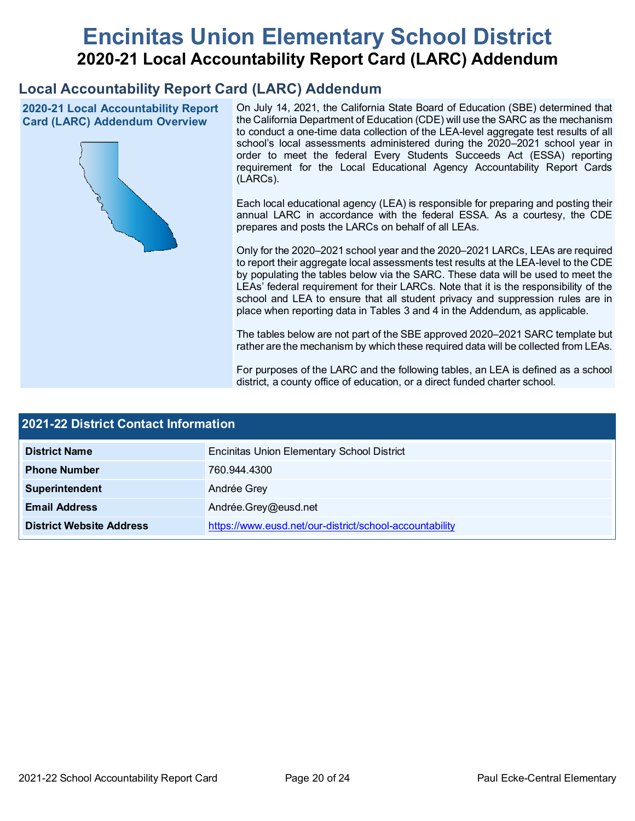# **Encinitas Union Elementary School District 2020-21 Local Accountability Report Card (LARC) Addendum**

## **Local Accountability Report Card (LARC) Addendum**

**2020-21 Local Accountability Report Card (LARC) Addendum Overview**



On July 14, 2021, the California State Board of Education (SBE) determined that the California Department of Education (CDE) will use the SARC as the mechanism to conduct a one-time data collection of the LEA-level aggregate test results of all school's local assessments administered during the 2020–2021 school year in order to meet the federal Every Students Succeeds Act (ESSA) reporting requirement for the Local Educational Agency Accountability Report Cards (LARCs).

Each local educational agency (LEA) is responsible for preparing and posting their annual LARC in accordance with the federal ESSA. As a courtesy, the CDE prepares and posts the LARCs on behalf of all LEAs.

Only for the 2020–2021 school year and the 2020–2021 LARCs, LEAs are required to report their aggregate local assessments test results at the LEA-level to the CDE by populating the tables below via the SARC. These data will be used to meet the LEAs' federal requirement for their LARCs. Note that it is the responsibility of the school and LEA to ensure that all student privacy and suppression rules are in place when reporting data in Tables 3 and 4 in the Addendum, as applicable.

The tables below are not part of the SBE approved 2020–2021 SARC template but rather are the mechanism by which these required data will be collected from LEAs.

For purposes of the LARC and the following tables, an LEA is defined as a school district, a county office of education, or a direct funded charter school.

| <b>2021-22 District Contact Information</b> |                                                         |  |  |  |  |
|---------------------------------------------|---------------------------------------------------------|--|--|--|--|
| <b>District Name</b>                        | <b>Encinitas Union Elementary School District</b>       |  |  |  |  |
| <b>Phone Number</b>                         | 760.944.4300                                            |  |  |  |  |
| Superintendent                              | Andrée Grey                                             |  |  |  |  |
| <b>Email Address</b>                        | Andrée.Grey@eusd.net                                    |  |  |  |  |
| <b>District Website Address</b>             | https://www.eusd.net/our-district/school-accountability |  |  |  |  |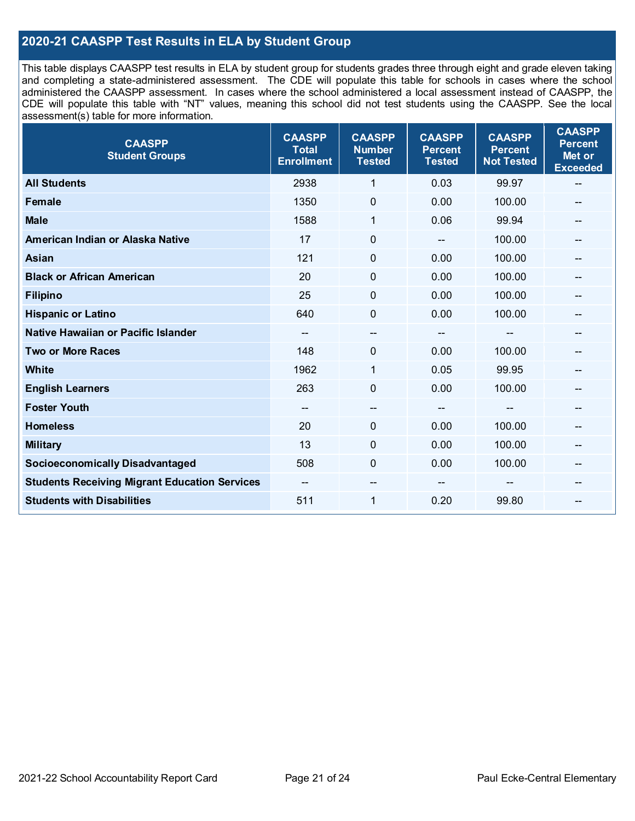## **2020-21 CAASPP Test Results in ELA by Student Group**

This table displays CAASPP test results in ELA by student group for students grades three through eight and grade eleven taking and completing a state-administered assessment. The CDE will populate this table for schools in cases where the school administered the CAASPP assessment. In cases where the school administered a local assessment instead of CAASPP, the CDE will populate this table with "NT" values, meaning this school did not test students using the CAASPP. See the local assessment(s) table for more information.

| <b>CAASPP</b><br><b>Student Groups</b>               | <b>CAASPP</b><br><b>Total</b><br><b>Enrollment</b> | <b>CAASPP</b><br><b>Number</b><br><b>Tested</b> | <b>CAASPP</b><br><b>Percent</b><br><b>Tested</b> | <b>CAASPP</b><br><b>Percent</b><br><b>Not Tested</b> | <b>CAASPP</b><br><b>Percent</b><br>Met or<br><b>Exceeded</b> |
|------------------------------------------------------|----------------------------------------------------|-------------------------------------------------|--------------------------------------------------|------------------------------------------------------|--------------------------------------------------------------|
| <b>All Students</b>                                  | 2938                                               | 1                                               | 0.03                                             | 99.97                                                | --                                                           |
| <b>Female</b>                                        | 1350                                               | $\pmb{0}$                                       | 0.00                                             | 100.00                                               |                                                              |
| <b>Male</b>                                          | 1588                                               | 1                                               | 0.06                                             | 99.94                                                | $\qquad \qquad \qquad \qquad$                                |
| American Indian or Alaska Native                     | 17                                                 | $\mathbf 0$                                     | $-$                                              | 100.00                                               | --                                                           |
| <b>Asian</b>                                         | 121                                                | 0                                               | 0.00                                             | 100.00                                               | --                                                           |
| <b>Black or African American</b>                     | 20                                                 | $\mathbf 0$                                     | 0.00                                             | 100.00                                               |                                                              |
| <b>Filipino</b>                                      | 25                                                 | $\mathbf 0$                                     | 0.00                                             | 100.00                                               |                                                              |
| <b>Hispanic or Latino</b>                            | 640                                                | $\mathbf 0$                                     | 0.00                                             | 100.00                                               | $\qquad \qquad \blacksquare$                                 |
| Native Hawaiian or Pacific Islander                  | --                                                 | --                                              | $\qquad \qquad \qquad \qquad$                    | --                                                   | $\qquad \qquad \qquad \qquad$                                |
| <b>Two or More Races</b>                             | 148                                                | 0                                               | 0.00                                             | 100.00                                               | --                                                           |
| <b>White</b>                                         | 1962                                               | 1                                               | 0.05                                             | 99.95                                                |                                                              |
| <b>English Learners</b>                              | 263                                                | $\mathbf 0$                                     | 0.00                                             | 100.00                                               |                                                              |
| <b>Foster Youth</b>                                  | $\sim$ $\sim$                                      | $\hspace{0.05cm}$ – $\hspace{0.05cm}$           | $\hspace{0.05cm}$ – $\hspace{0.05cm}$            | $-$                                                  | --                                                           |
| <b>Homeless</b>                                      | 20                                                 | $\pmb{0}$                                       | 0.00                                             | 100.00                                               | --                                                           |
| <b>Military</b>                                      | 13                                                 | 0                                               | 0.00                                             | 100.00                                               | --                                                           |
| <b>Socioeconomically Disadvantaged</b>               | 508                                                | $\Omega$                                        | 0.00                                             | 100.00                                               | --                                                           |
| <b>Students Receiving Migrant Education Services</b> |                                                    | --                                              |                                                  |                                                      |                                                              |
| <b>Students with Disabilities</b>                    | 511                                                | $\mathbf{1}$                                    | 0.20                                             | 99.80                                                | --                                                           |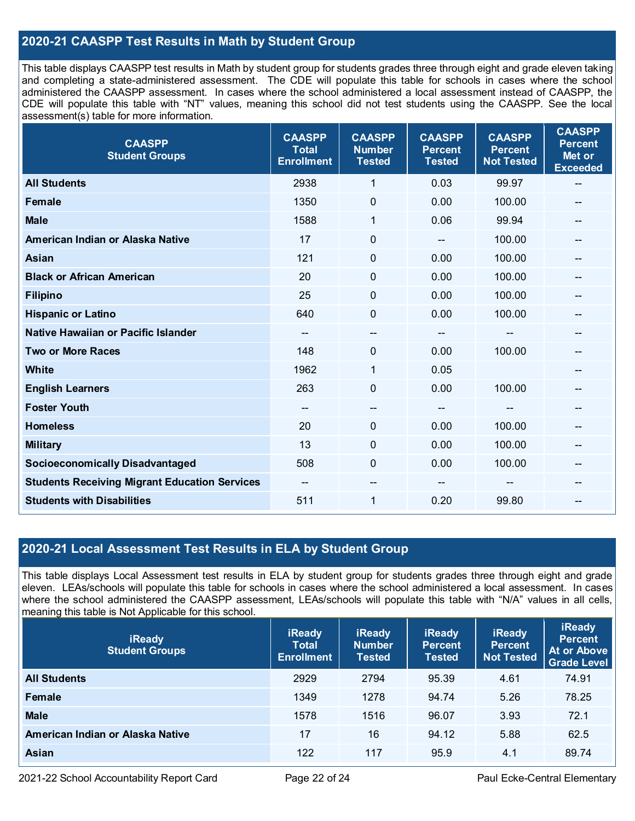## **2020-21 CAASPP Test Results in Math by Student Group**

This table displays CAASPP test results in Math by student group for students grades three through eight and grade eleven taking and completing a state-administered assessment. The CDE will populate this table for schools in cases where the school administered the CAASPP assessment. In cases where the school administered a local assessment instead of CAASPP, the CDE will populate this table with "NT" values, meaning this school did not test students using the CAASPP. See the local assessment(s) table for more information.

| <b>CAASPP</b><br><b>Student Groups</b>               | <b>CAASPP</b><br><b>Total</b><br><b>Enrollment</b> | <b>CAASPP</b><br><b>Number</b><br><b>Tested</b> | <b>CAASPP</b><br><b>Percent</b><br><b>Tested</b> | <b>CAASPP</b><br><b>Percent</b><br><b>Not Tested</b> | <b>CAASPP</b><br><b>Percent</b><br>Met or<br><b>Exceeded</b> |
|------------------------------------------------------|----------------------------------------------------|-------------------------------------------------|--------------------------------------------------|------------------------------------------------------|--------------------------------------------------------------|
| <b>All Students</b>                                  | 2938                                               | $\mathbf{1}$                                    | 0.03                                             | 99.97                                                | $\mathbf{m}$                                                 |
| <b>Female</b>                                        | 1350                                               | $\mathbf 0$                                     | 0.00                                             | 100.00                                               |                                                              |
| <b>Male</b>                                          | 1588                                               | 1                                               | 0.06                                             | 99.94                                                | $\overline{a}$                                               |
| American Indian or Alaska Native                     | 17                                                 | $\mathbf 0$                                     | $\overline{\phantom{m}}$                         | 100.00                                               | --                                                           |
| <b>Asian</b>                                         | 121                                                | 0                                               | 0.00                                             | 100.00                                               | --                                                           |
| <b>Black or African American</b>                     | 20                                                 | $\mathbf{0}$                                    | 0.00                                             | 100.00                                               |                                                              |
| <b>Filipino</b>                                      | 25                                                 | $\mathbf 0$                                     | 0.00                                             | 100.00                                               |                                                              |
| <b>Hispanic or Latino</b>                            | 640                                                | $\mathbf 0$                                     | 0.00                                             | 100.00                                               | $-$                                                          |
| <b>Native Hawaiian or Pacific Islander</b>           | $\overline{\phantom{a}}$                           | --                                              | $\mathbf{m}$                                     | --                                                   | --                                                           |
| <b>Two or More Races</b>                             | 148                                                | 0                                               | 0.00                                             | 100.00                                               |                                                              |
| <b>White</b>                                         | 1962                                               | 1                                               | 0.05                                             |                                                      | --                                                           |
| <b>English Learners</b>                              | 263                                                | $\overline{0}$                                  | 0.00                                             | 100.00                                               |                                                              |
| <b>Foster Youth</b>                                  | $\overline{\phantom{a}}$                           | $\overline{\phantom{a}}$                        | $\mathbf{m}$                                     | --                                                   | --                                                           |
| <b>Homeless</b>                                      | 20                                                 | $\mathbf 0$                                     | 0.00                                             | 100.00                                               | --                                                           |
| <b>Military</b>                                      | 13                                                 | $\mathbf 0$                                     | 0.00                                             | 100.00                                               |                                                              |
| <b>Socioeconomically Disadvantaged</b>               | 508                                                | $\Omega$                                        | 0.00                                             | 100.00                                               | --                                                           |
| <b>Students Receiving Migrant Education Services</b> | $\overline{\phantom{a}}$                           | --                                              |                                                  |                                                      |                                                              |
| <b>Students with Disabilities</b>                    | 511                                                | 1                                               | 0.20                                             | 99.80                                                | --                                                           |

## **2020-21 Local Assessment Test Results in ELA by Student Group**

This table displays Local Assessment test results in ELA by student group for students grades three through eight and grade eleven. LEAs/schools will populate this table for schools in cases where the school administered a local assessment. In cases where the school administered the CAASPP assessment, LEAs/schools will populate this table with "N/A" values in all cells, meaning this table is Not Applicable for this school.

| <b>iReady</b><br><b>Student Groups</b> | <b>iReady</b><br><b>Total</b><br><b>Enrollment</b> | <b>iReady</b><br><b>Number</b><br><b>Tested</b> | <b>iReady</b><br><b>Percent</b><br><b>Tested</b> | <b>iReady</b><br><b>Percent</b><br><b>Not Tested</b> | <b>iReady</b><br><b>Percent</b><br>At or Above<br><b>Grade Level</b> |
|----------------------------------------|----------------------------------------------------|-------------------------------------------------|--------------------------------------------------|------------------------------------------------------|----------------------------------------------------------------------|
| <b>All Students</b>                    | 2929                                               | 2794                                            | 95.39                                            | 4.61                                                 | 74.91                                                                |
| Female                                 | 1349                                               | 1278                                            | 94.74                                            | 5.26                                                 | 78.25                                                                |
| <b>Male</b>                            | 1578                                               | 1516                                            | 96.07                                            | 3.93                                                 | 72.1                                                                 |
| American Indian or Alaska Native       | 17                                                 | 16                                              | 94.12                                            | 5.88                                                 | 62.5                                                                 |
| <b>Asian</b>                           | 122                                                | 117                                             | 95.9                                             | 4.1                                                  | 89.74                                                                |

2021-22 School Accountability Report Card Page 22 of 24 Paul Ecke-Central Elementary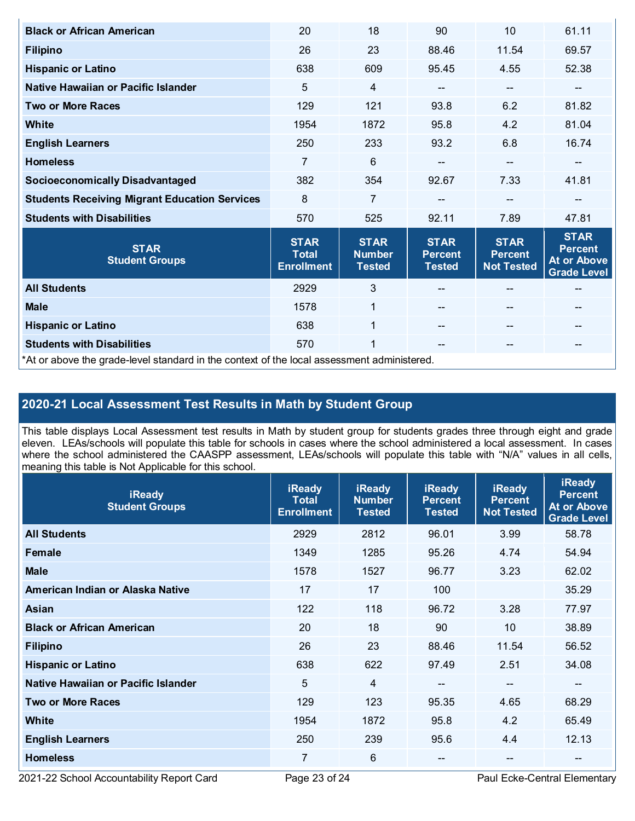| <b>Black or African American</b>                                                           | 20                                               | 18                                            | 90                                             | 10                                                 | 61.11                                                                     |  |
|--------------------------------------------------------------------------------------------|--------------------------------------------------|-----------------------------------------------|------------------------------------------------|----------------------------------------------------|---------------------------------------------------------------------------|--|
| <b>Filipino</b>                                                                            | 26                                               | 23                                            | 88.46                                          | 11.54                                              | 69.57                                                                     |  |
| <b>Hispanic or Latino</b>                                                                  | 638                                              | 609                                           | 95.45                                          | 4.55                                               | 52.38                                                                     |  |
| Native Hawaiian or Pacific Islander                                                        | 5                                                | $\overline{4}$                                | --                                             | $\qquad \qquad -$                                  | --                                                                        |  |
| <b>Two or More Races</b>                                                                   | 129                                              | 121                                           | 93.8                                           | 6.2                                                | 81.82                                                                     |  |
| White                                                                                      | 1954                                             | 1872                                          | 95.8                                           | 4.2                                                | 81.04                                                                     |  |
| <b>English Learners</b>                                                                    | 250                                              | 233                                           | 93.2                                           | 6.8                                                | 16.74                                                                     |  |
| <b>Homeless</b>                                                                            | 7                                                | 6                                             |                                                | $\qquad \qquad \blacksquare$                       | --                                                                        |  |
| <b>Socioeconomically Disadvantaged</b>                                                     | 382                                              | 354                                           | 92.67                                          | 7.33                                               | 41.81                                                                     |  |
| <b>Students Receiving Migrant Education Services</b>                                       | 8                                                | $\overline{7}$                                | --                                             | --                                                 | --                                                                        |  |
| <b>Students with Disabilities</b>                                                          | 570                                              | 525                                           | 92.11                                          | 7.89                                               | 47.81                                                                     |  |
| <b>STAR</b><br><b>Student Groups</b>                                                       | <b>STAR</b><br><b>Total</b><br><b>Enrollment</b> | <b>STAR</b><br><b>Number</b><br><b>Tested</b> | <b>STAR</b><br><b>Percent</b><br><b>Tested</b> | <b>STAR</b><br><b>Percent</b><br><b>Not Tested</b> | <b>STAR</b><br><b>Percent</b><br><b>At or Above</b><br><b>Grade Level</b> |  |
| <b>All Students</b>                                                                        | 2929                                             | 3                                             |                                                |                                                    |                                                                           |  |
| <b>Male</b>                                                                                | 1578                                             | $\mathbf{1}$                                  |                                                | $-$                                                | --                                                                        |  |
| <b>Hispanic or Latino</b>                                                                  | 638                                              | $\mathbf{1}$                                  |                                                | --                                                 |                                                                           |  |
| <b>Students with Disabilities</b>                                                          | 570                                              | 1                                             |                                                | $\qquad \qquad \qquad -$                           | --                                                                        |  |
| *At or above the grade-level standard in the context of the local assessment administered. |                                                  |                                               |                                                |                                                    |                                                                           |  |

# **2020-21 Local Assessment Test Results in Math by Student Group**

This table displays Local Assessment test results in Math by student group for students grades three through eight and grade eleven. LEAs/schools will populate this table for schools in cases where the school administered a local assessment. In cases where the school administered the CAASPP assessment, LEAs/schools will populate this table with "N/A" values in all cells, meaning this table is Not Applicable for this school.

| <b>iReady</b><br><b>Student Groups</b> | <b>iReady</b><br><b>Total</b><br><b>Enrollment</b> | <b>iReady</b><br><b>Number</b><br><b>Tested</b> | <b>iReady</b><br><b>Percent</b><br><b>Tested</b> | <b>iReady</b><br><b>Percent</b><br><b>Not Tested</b> | <b>iReady</b><br><b>Percent</b><br><b>At or Above</b><br><b>Grade Level</b> |
|----------------------------------------|----------------------------------------------------|-------------------------------------------------|--------------------------------------------------|------------------------------------------------------|-----------------------------------------------------------------------------|
| <b>All Students</b>                    | 2929                                               | 2812                                            | 96.01                                            | 3.99                                                 | 58.78                                                                       |
| Female                                 | 1349                                               | 1285                                            | 95.26                                            | 4.74                                                 | 54.94                                                                       |
| <b>Male</b>                            | 1578                                               | 1527                                            | 96.77                                            | 3.23                                                 | 62.02                                                                       |
| American Indian or Alaska Native       | 17                                                 | 17                                              | 100                                              |                                                      | 35.29                                                                       |
| Asian                                  | 122                                                | 118                                             | 96.72                                            | 3.28                                                 | 77.97                                                                       |
| <b>Black or African American</b>       | 20                                                 | 18                                              | 90                                               | 10                                                   | 38.89                                                                       |
| <b>Filipino</b>                        | 26                                                 | 23                                              | 88.46                                            | 11.54                                                | 56.52                                                                       |
| <b>Hispanic or Latino</b>              | 638                                                | 622                                             | 97.49                                            | 2.51                                                 | 34.08                                                                       |
| Native Hawaiian or Pacific Islander    | 5                                                  | 4                                               | $\overline{\phantom{m}}$                         | --                                                   | --                                                                          |
| <b>Two or More Races</b>               | 129                                                | 123                                             | 95.35                                            | 4.65                                                 | 68.29                                                                       |
| <b>White</b>                           | 1954                                               | 1872                                            | 95.8                                             | 4.2                                                  | 65.49                                                                       |
| <b>English Learners</b>                | 250                                                | 239                                             | 95.6                                             | 4.4                                                  | 12.13                                                                       |
| <b>Homeless</b>                        | 7                                                  | 6                                               | $- -$                                            | --                                                   | --                                                                          |